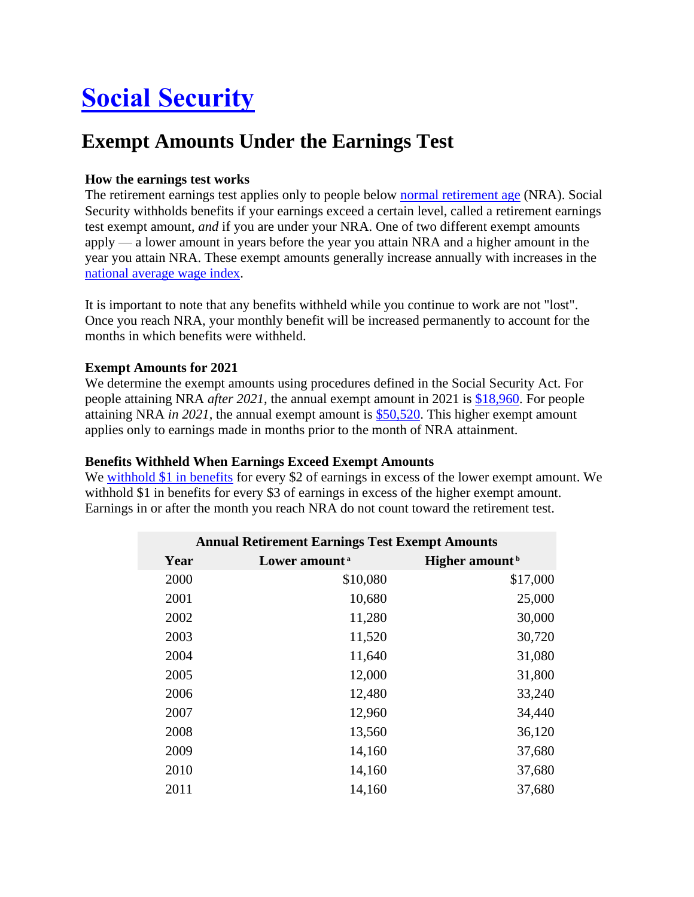# **[Social Security](https://www.ssa.gov/)**

# **Exempt Amounts Under the Earnings Test**

## **How the earnings test works**

The retirement earnings test applies only to people below [normal retirement age](https://www.ssa.gov/OACT/ProgData/nra.html) (NRA). Social Security withholds benefits if your earnings exceed a certain level, called a retirement earnings test exempt amount, *and* if you are under your NRA. One of two different exempt amounts apply — a lower amount in years before the year you attain NRA and a higher amount in the year you attain NRA. These exempt amounts generally increase annually with increases in the [national average wage index.](https://www.ssa.gov/OACT/COLA/AWI.html)

It is important to note that any benefits withheld while you continue to work are not "lost". Once you reach NRA, your monthly benefit will be increased permanently to account for the months in which benefits were withheld.

### **Exempt Amounts for 2021**

We determine the exempt amounts using procedures defined in the Social Security Act. For people attaining NRA *after 2021*, the annual exempt amount in 2021 is [\\$18,960.](https://www.ssa.gov/OACT/COLA/rtdet.html) For people attaining NRA *in 2021*, the annual exempt amount is [\\$50,520.](https://www.ssa.gov/OACT/COLA/rtdet.html#higher) This higher exempt amount applies only to earnings made in months prior to the month of NRA attainment.

### **Benefits Withheld When Earnings Exceed Exempt Amounts**

We [withhold \\$1 in benefits](https://www.ssa.gov/OACT/COLA/RTeffect.html) for every \$2 of earnings in excess of the lower exempt amount. We withhold \$1 in benefits for every \$3 of earnings in excess of the higher exempt amount. Earnings in or after the month you reach NRA do not count toward the retirement test.

| <b>Annual Retirement Earnings Test Exempt Amounts</b> |                           |                            |  |
|-------------------------------------------------------|---------------------------|----------------------------|--|
| Year                                                  | Lower amount <sup>a</sup> | Higher amount <sup>b</sup> |  |
| 2000                                                  | \$10,080                  | \$17,000                   |  |
| 2001                                                  | 10,680                    | 25,000                     |  |
| 2002                                                  | 11,280                    | 30,000                     |  |
| 2003                                                  | 11,520                    | 30,720                     |  |
| 2004                                                  | 11,640                    | 31,080                     |  |
| 2005                                                  | 12,000                    | 31,800                     |  |
| 2006                                                  | 12,480                    | 33,240                     |  |
| 2007                                                  | 12,960                    | 34,440                     |  |
| 2008                                                  | 13,560                    | 36,120                     |  |
| 2009                                                  | 14,160                    | 37,680                     |  |
| 2010                                                  | 14,160                    | 37,680                     |  |
| 2011                                                  | 14,160                    | 37,680                     |  |